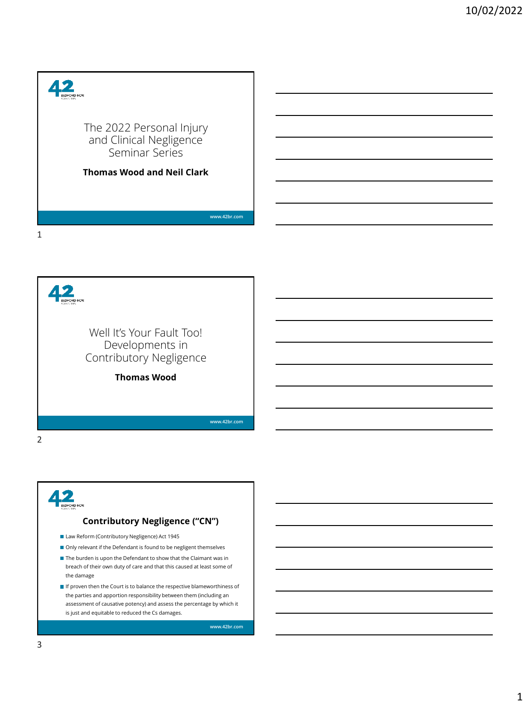



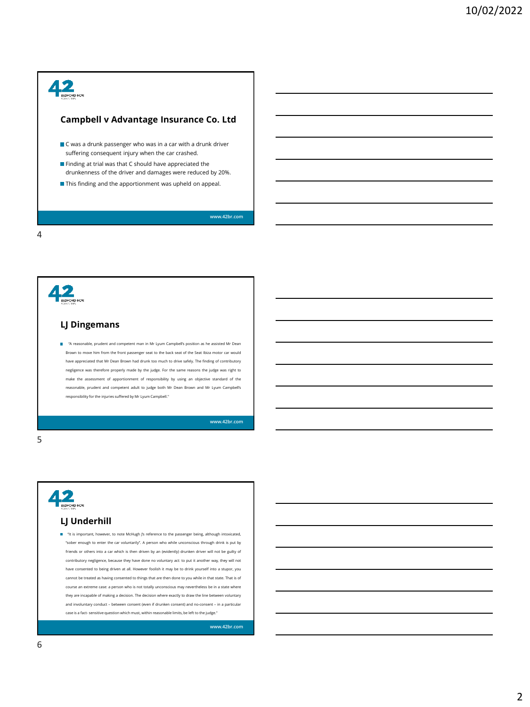#### **Campbell v Advantage Insurance Co. Ltd**

- C was a drunk passenger who was in a car with a drunk driver suffering consequent injury when the car crashed.
- **Finding at trial was that C should have appreciated the** drunkenness of the driver and damages were reduced by 20%.
- This finding and the apportionment was upheld on appeal.

**[www.42br.com](http://www.42br.com/)**

4



"A reasonable, prudent and competent man in Mr Lyum Campbell's position as he assisted Mr Dean Brown to move him from the front passenger seat to the back seat of the Seat Ibiza motor car would have appreciated that Mr Dean Brown had drunk too much to drive safely. The finding of contributory negligence was therefore properly made by the judge. For the same reasons the judge was right to make the assessment of apportionment of responsibility by using an objective standard of the reasonable, prudent and competent adult to judge both Mr Dean Brown and Mr Lyum Campbell's responsibility for the injuries suffered by Mr Lyum Campbell."

**[www.42br.com](http://www.42br.com/)**





**[www.42br.com](http://www.42br.com/)**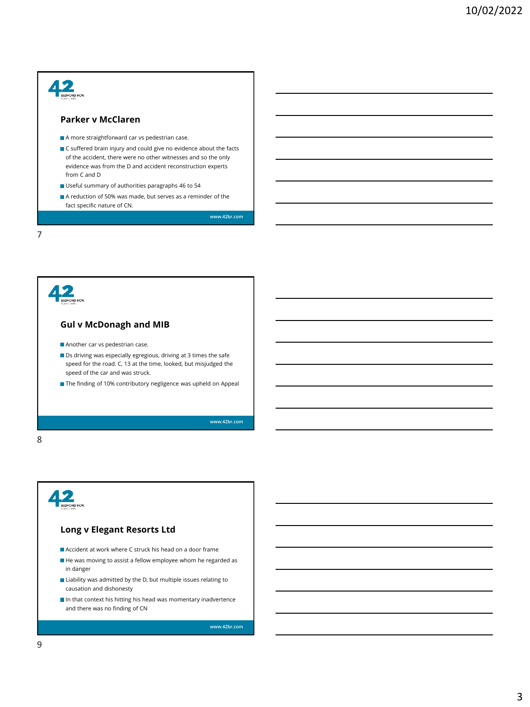#### 42 **Parker v McClaren** A more straightforward car vs pedestrian case.  $\blacksquare$  C suffered brain injury and could give no evidence about the facts of the accident, there were no other witnesses and so the only evidence was from the D and accident reconstruction experts from C and D Useful summary of authorities paragraphs 46 to 54 A reduction of 50% was made, but serves as a reminder of the fact specific nature of CN. **[www.42br.com](http://www.42br.com/)** 7





**[www.42br.com](http://www.42br.com/)**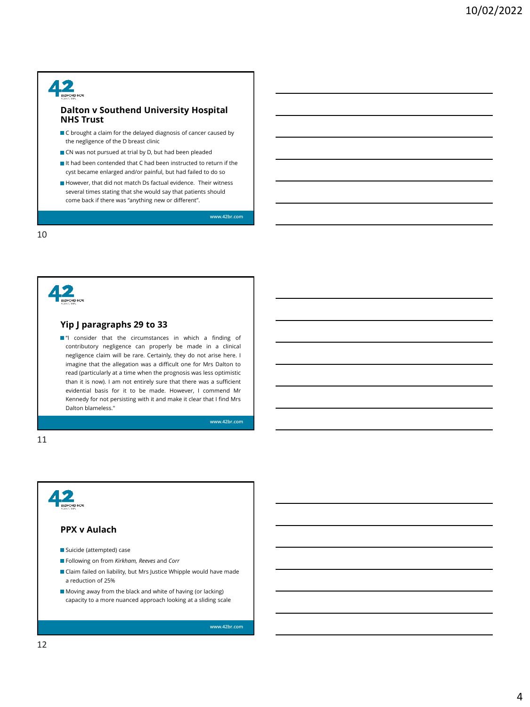

#### **Dalton v Southend University Hospital NHS Trust**

- $\blacksquare$  C brought a claim for the delayed diagnosis of cancer caused by the negligence of the D breast clinic
- CN was not pursued at trial by D, but had been pleaded
- It had been contended that C had been instructed to return if the cyst became enlarged and/or painful, but had failed to do so
- However, that did not match Ds factual evidence. Their witness several times stating that she would say that patients should come back if there was "anything new or different".

**[www.42br.com](http://www.42br.com/)**

10



#### **Yip J paragraphs 29 to 33**

 $\blacksquare$ "I consider that the circumstances in which a finding of contributory negligence can properly be made in a clinical negligence claim will be rare. Certainly, they do not arise here. I imagine that the allegation was a difficult one for Mrs Dalton to read (particularly at a time when the prognosis was less optimistic than it is now). I am not entirely sure that there was a sufficient evidential basis for it to be made. However, I commend Mr Kennedy for not persisting with it and make it clear that I find Mrs Dalton blameless."

**[www.42br.com](http://www.42br.com/)**

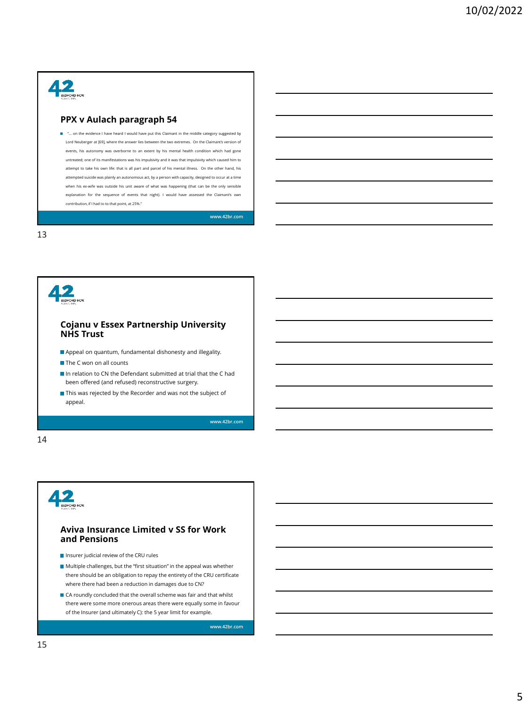

#### **PPX v Aulach paragraph 54**

■ "... on the evidence I have heard I would have put this Claimant in the middle category suggested by Lord Neuberger at [69], where the answer lies between the two extremes. On the Claimant's version of events, his autonomy was overborne to an extent by his mental health condition which had gone untreated; one of its manifestations was his impulsivity and it was that impulsivity which caused him to attempt to take his own life: that is all part and parcel of his mental illness. On the other hand, his attempted suicide was plainly an autonomous act, by a person with capacity, designed to occur at a time when his ex-wife was outside his unit aware of what was happening (that can be the only sensible explanation for the sequence of events that night). I would have assessed the Claimant's own contribution, if I had to to that point, at 25%."

**[www.42br.com](http://www.42br.com/)**

13





#### **Aviva Insurance Limited v SS for Work and Pensions**

- Insurer judicial review of the CRU rules
- Multiple challenges, but the "first situation" in the appeal was whether there should be an obligation to repay the entirety of the CRU certificate where there had been a reduction in damages due to CN?
- CA roundly concluded that the overall scheme was fair and that whilst there were some more onerous areas there were equally some in favour of the Insurer (and ultimately C): the 5 year limit for example.

**[www.42br.com](http://www.42br.com/)**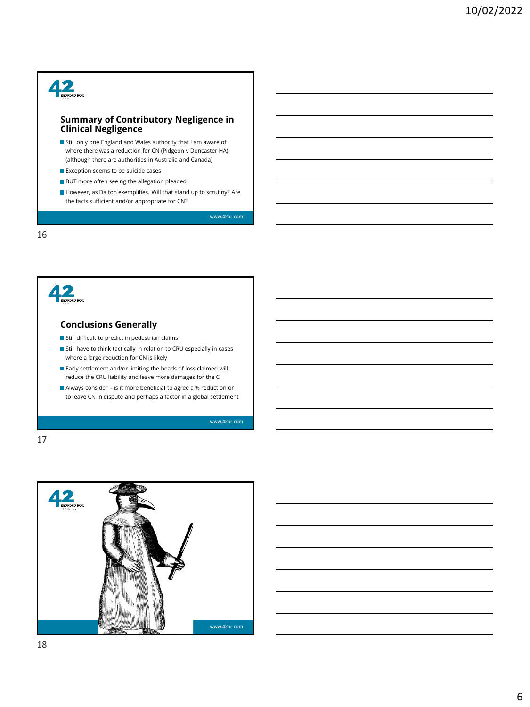## $42<sub>g</sub>$

#### **Summary of Contributory Negligence in Clinical Negligence**

Still only one England and Wales authority that I am aware of where there was a reduction for CN (Pidgeon v Doncaster HA) (although there are authorities in Australia and Canada)

- Exception seems to be suicide cases
- **BUT** more often seeing the allegation pleaded
- However, as Dalton exemplifies. Will that stand up to scrutiny? Are the facts sufficient and/or appropriate for CN?

**[www.42br.com](http://www.42br.com/)**

16



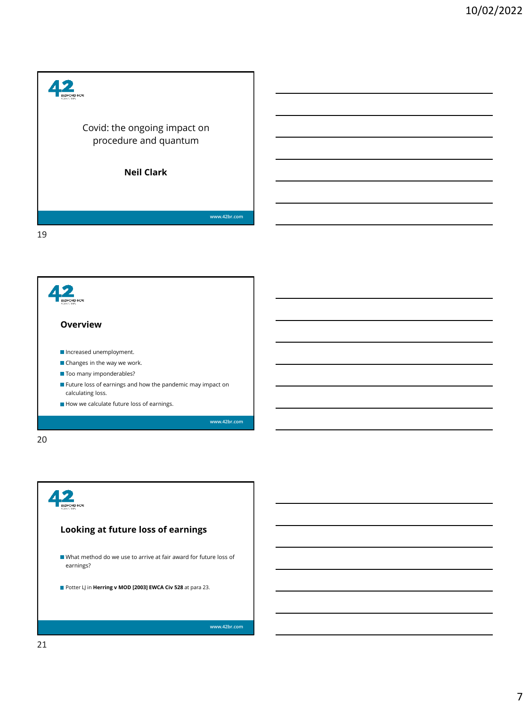



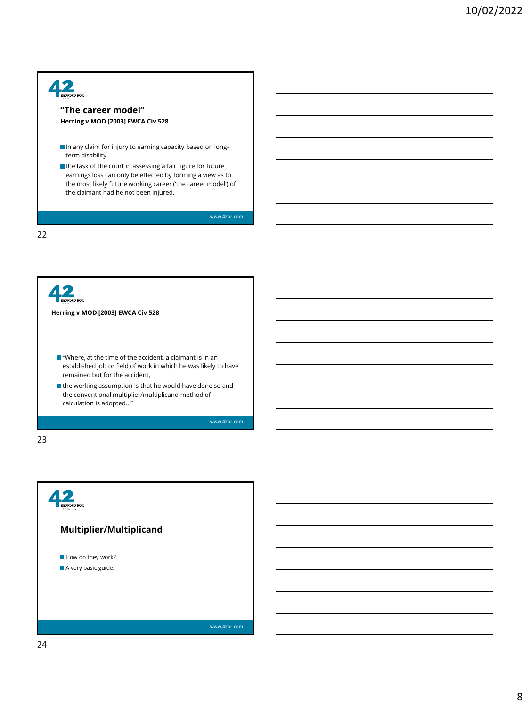

| Herring v MOD [2003] EWCA Civ 528                                                                                                                                            |
|------------------------------------------------------------------------------------------------------------------------------------------------------------------------------|
| $\blacksquare$ "Where, at the time of the accident, a claimant is in an<br>established job or field of work in which he was likely to have<br>remained but for the accident. |
| $\blacksquare$ the working assumption is that he would have done so and<br>the conventional multiplier/multiplicand method of<br>calculation is adopted"                     |
| <b>MMW 42hr com</b>                                                                                                                                                          |

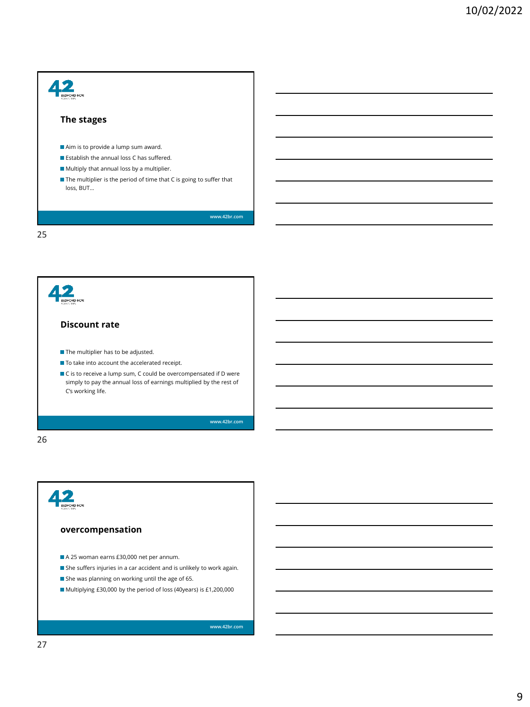

 $\blacksquare$  To take into account the accelerated receipt.

 $\blacksquare$  C is to receive a lump sum, C could be overcompensated if D were simply to pay the annual loss of earnings multiplied by the rest of C's working life.

**[www.42br.com](http://www.42br.com/)**

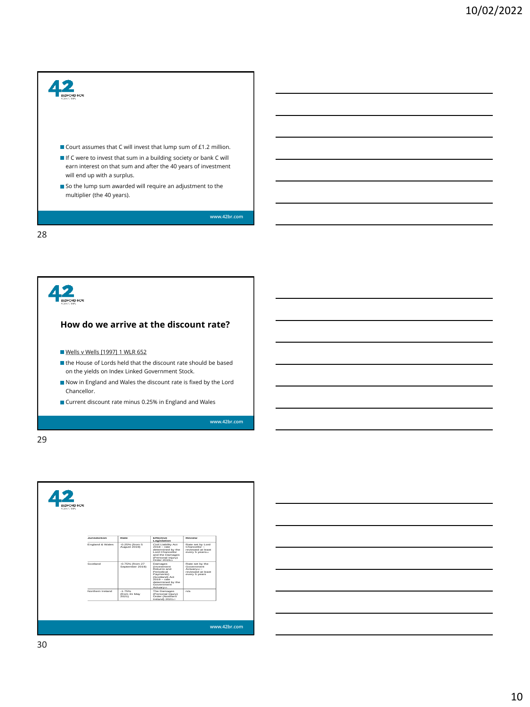



| 42<br><b>MARIN FRS</b>                                                                                                                                                                                                                                                                                                |
|-----------------------------------------------------------------------------------------------------------------------------------------------------------------------------------------------------------------------------------------------------------------------------------------------------------------------|
|                                                                                                                                                                                                                                                                                                                       |
| Effective<br>Review<br><b>Jurisdiction</b><br>Rate<br>Legislation                                                                                                                                                                                                                                                     |
| England & Wales<br>$-0.25%$ (from $5$<br>Civil Liability Act<br>Rate set by Lord<br>August 2019)<br>$2018 - \text{rate}$<br>Chancellor -<br>determined by the<br>reviewed at least<br><b>Lord Chancellor</b><br>every 5 years :-<br>and the Damages<br>(Personal Injury)<br>Order 201913                              |
| Scotland<br>-0.75% (from 27<br>Damages<br>Rate set by the<br>September 2019)<br>(Investment)<br>Government<br><b>Returns and</b><br>Actuary <sub>16</sub> -<br>Periodical<br>reviewed at least<br>Payments)<br>every 5 years<br>(Scotland) Act<br>$2019 - \text{rate}$<br>determined by the<br>Government<br>Actuarys |
| $-1.75%$<br>Northern Ireland<br>n/a<br>The Damages<br>(from 31 May<br>(Personal Injury)<br>2021)<br>Order (Northern)<br>Ireland) 202117                                                                                                                                                                               |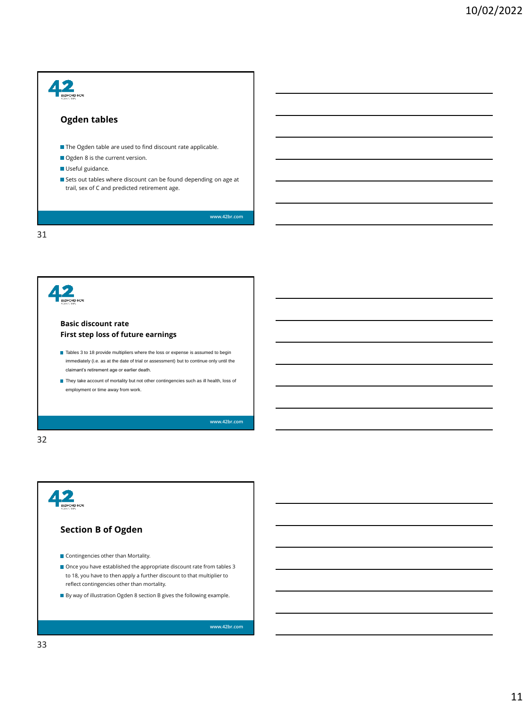



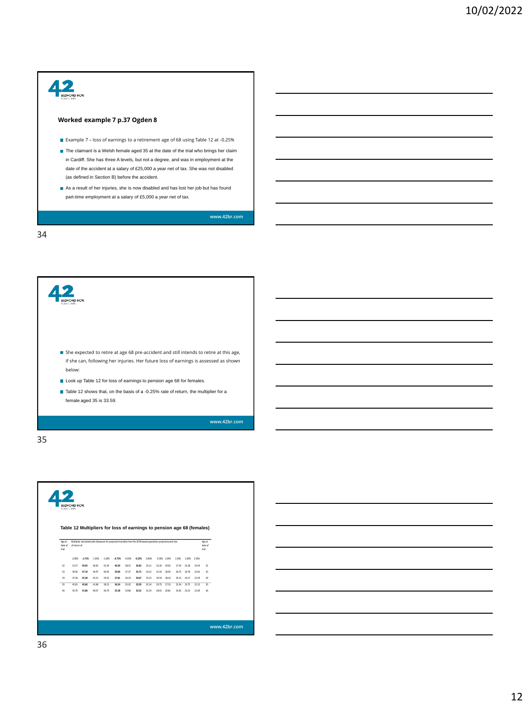



|                            | Table 12 Multipliers for loss of earnings to pension age 68 (females) |                |                |                                                                                                                  |                |                |                |                |                |                |                      |             |                |                            |  |
|----------------------------|-----------------------------------------------------------------------|----------------|----------------|------------------------------------------------------------------------------------------------------------------|----------------|----------------|----------------|----------------|----------------|----------------|----------------------|-------------|----------------|----------------------------|--|
| Age at<br>date of<br>trial | of return of:                                                         |                |                | Multiplier calculated with allowance for projected mortality from the 2018-based population projections and rate |                |                |                |                |                |                |                      |             |                | Age at<br>date of<br>trial |  |
|                            | $-2.00\%$                                                             | $-1.75%$       | $-1.50%$       | $-1.00\%$                                                                                                        | $-0.75%$       | $-0.50\%$      | $-0.25%$       | 0.00%          | 0.50% 1.00%    |                | 1.50%                | 2,00% 2,50% |                |                            |  |
| 32                         | 51.57                                                                 | 49.03          | 46.65          | 42.34                                                                                                            | 40.39          | 38.55          | 36.83          | 35.21          | 32.26          | 29.65          | 27.34                | 25.28       | 23.44          | 32                         |  |
| 33                         | 49.56                                                                 | 47.19          | 44.97          | 40.93                                                                                                            | 39.09          | 37.37          | 35.75          | 34.22          | 31.43          | 28.95          | 26.75                | 24.78       | 23.02          | 33                         |  |
| 34                         | 47.58                                                                 | 45.38          | 43.31          | 39.53                                                                                                            | 37.81          | 36.19          | 34.67          | 33.23          | 30.59          | 28.24          | 26.15                | 24.27       | 22.59          | 34                         |  |
| $\overline{35}$<br>36      | 45.65<br>43.76                                                        | 43.60<br>41.86 | 41.68<br>40.07 | 38.15<br>36.79                                                                                                   | 36.54<br>35.28 | 35.02<br>33.86 | 33.59<br>32.52 | 32.24<br>31.24 | 29.75<br>28.91 | 27.53<br>26.81 | 25.54<br>24.92 23.23 | 23.75       | 22.15<br>21.69 | 35<br>36                   |  |
|                            |                                                                       |                |                |                                                                                                                  |                |                |                |                |                |                |                      |             |                |                            |  |
|                            |                                                                       |                |                |                                                                                                                  |                |                |                |                |                |                |                      |             |                |                            |  |

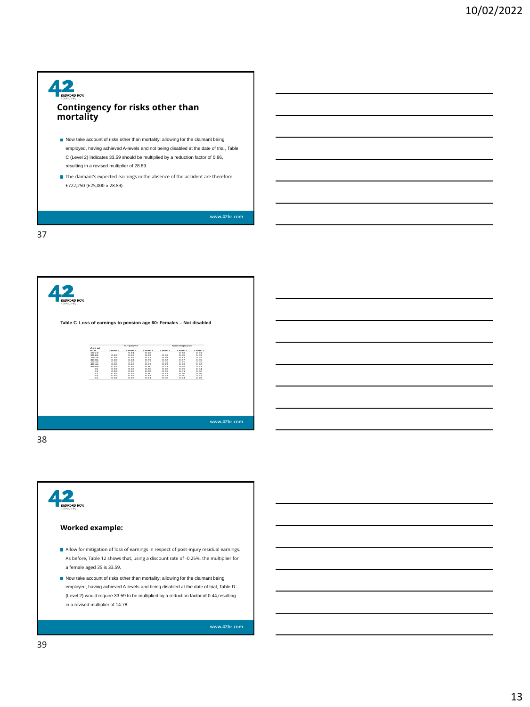#### $42$ **ROW Contingency for risks other than mortality**

Now take account of risks other than mortality: allowing for the claimant being employed, having achieved A-levels and not being disabled at the date of trial, Table C (Level 2) indicates 33.59 should be multiplied by a reduction factor of 0.86, resulting in a revised multiplier of 28.89.

The claimant's expected earnings in the absence of the accident are therefore £722,250 (£25,000 x 28.89).

**[www.42br.com](http://www.42br.com/)**

37

| <b>BEDFORD ROW</b><br><b>SARK STERS</b><br>Table C Loss of earnings to pension age 60: Females - Not disabled | Age at<br>trial<br>$16 - 19$<br>$20 - 24$<br>$25 - 29$<br>$30 - 34$<br>35-39<br>$40 - 44$<br>$45 - 49$<br>50 | Level 3<br>0.00<br>0.00<br>0.00<br>0.00<br>0.00<br>0.07<br>0.05 | Employed<br>Level 2<br>0.01<br>0.02<br>0.03<br>0.04<br>0.05<br>0.05<br>0.04<br>0.03 | Level 1<br>0.66<br>0.69<br>0.72<br>0.75<br>0.77<br>0.79<br>0.80<br>0.00 | Level 3<br>0.06<br>0.04<br>0.02<br>0.01<br>0.79<br>0.73<br>0.65 | Non-employed<br>Level 2<br>0.78<br>0.70<br>0.77<br>0.77<br>0.76<br>0.73<br>0.65<br>0.55 | Level 1<br>0.63<br>0.63<br>0.64<br>0.65<br>0.65<br>0.62<br>0.53<br>0.44 |              |
|---------------------------------------------------------------------------------------------------------------|--------------------------------------------------------------------------------------------------------------|-----------------------------------------------------------------|-------------------------------------------------------------------------------------|-------------------------------------------------------------------------|-----------------------------------------------------------------|-----------------------------------------------------------------------------------------|-------------------------------------------------------------------------|--------------|
|                                                                                                               | 51<br>52<br>53<br>54                                                                                         | 0.04<br>0.03<br>0.02<br>0.02                                    | 0.03<br>0.03<br>0.03<br>0.03                                                        | 0.00<br>0.00<br>0.01<br>0.01                                            | 0.62<br>0.57<br>0.51<br>0.45                                    | 0.51<br>0.46<br>0.40<br>0.34                                                            | 0.40<br>0.36<br>0.32<br>0.20                                            | www.42br.com |

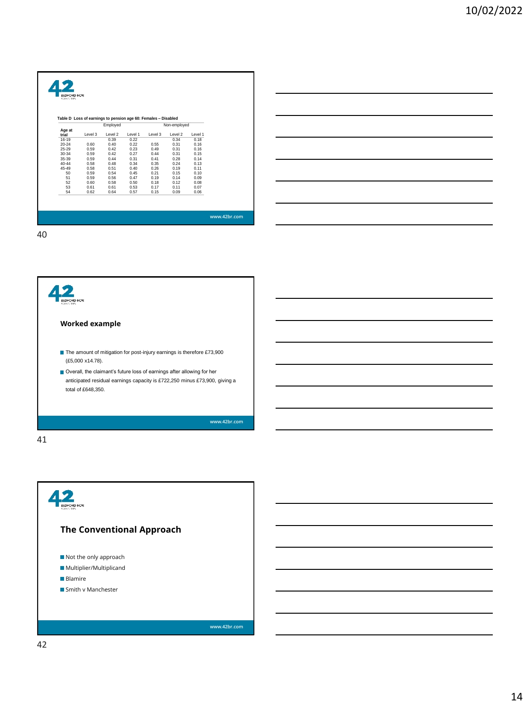|                    |         | Employed |         | Table D Loss of earnings to pension age 60: Females - Disabled | Non-employed |         |  |
|--------------------|---------|----------|---------|----------------------------------------------------------------|--------------|---------|--|
| Age at             | Level 3 | Level 2  | Level 1 | Level 3                                                        | Level 2      | Level 1 |  |
| trial<br>$16 - 19$ |         | 0.39     | 0.22    |                                                                | 0.34         | 0.18    |  |
| $20 - 24$          | 0.60    | 0.40     | 0.22    | 0.55                                                           | 0.31         | 0.16    |  |
| $25 - 29$          | 0.59    | 0.42     | 0.23    | 0.49                                                           | 0.31         | 0.16    |  |
| $30 - 34$          | 0.59    | 0.42     | 0.27    | 0.44                                                           | 0.31         | 0.15    |  |
| $35 - 39$          | 0.59    | 0.44     | 0.31    | 0.41                                                           | 0.28         | 0.14    |  |
| $40 - 44$          | 0.58    | 0.48     | 0.34    | 0.35                                                           | 0.24         | 0.13    |  |
| 45-49              | 0.58    | 0.51     | 0.40    | 0.26                                                           | 0.19         | 0.11    |  |
| 50                 | 0.59    | 0.54     | 0.45    | 0.21                                                           | 0.15         | 0.10    |  |
| 51                 | 0.59    | 0.56     | 0.47    | 0.19                                                           | 0.14         | 0.09    |  |
| 52                 | 0.60    | 0.58     | 0.50    | 0.18                                                           | 0.12         | 0.08    |  |
| 53                 | 0.61    | 0.61     | 0.53    | 0.17                                                           | 0.11         | 0.07    |  |
| 54                 | 0.62    | 0.64     | 0.57    | 0.15                                                           | 0.09         | 0.06    |  |

 $42$ **ROW Worked example** ■ The amount of mitigation for post-injury earnings is therefore £73,900 (£5,000 x14.78). Overall, the claimant's future loss of earnings after allowing for her anticipated residual earnings capacity is £722,250 minus £73,900, giving a total of £648,350. **[www.42br.com](http://www.42br.com/)** 41

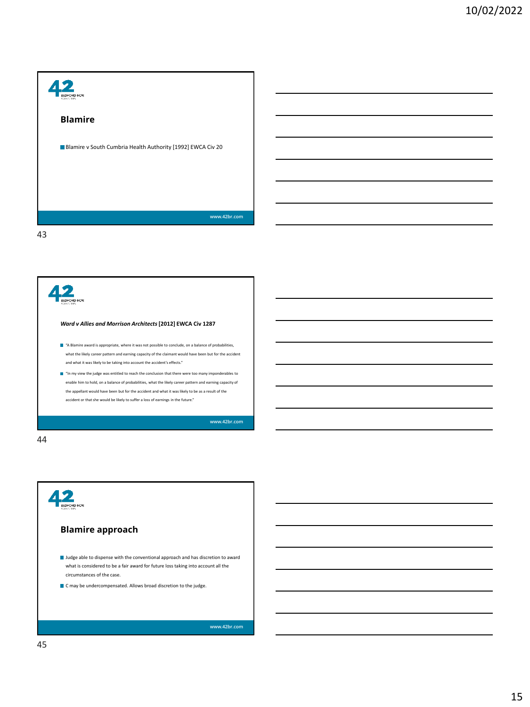



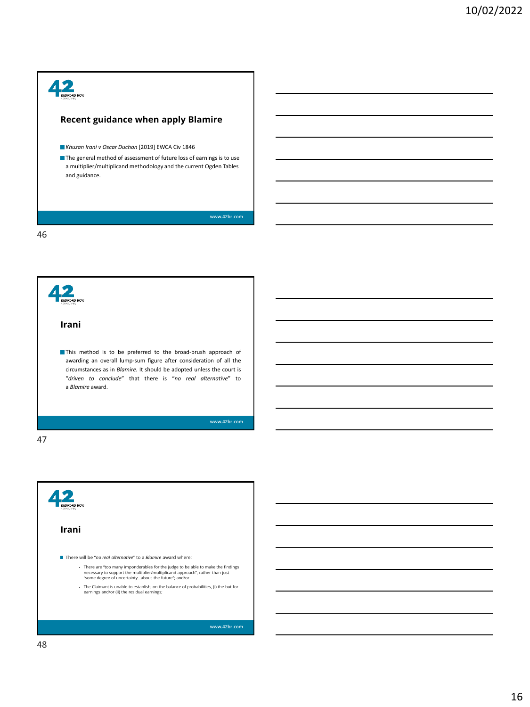## 42 **Recent guidance when apply Blamire** *Khuzan Irani v Oscar Duchon* [2019] EWCA Civ 1846 The general method of assessment of future loss of earnings is to use a multiplier/multiplicand methodology and the current Ogden Tables and guidance. **[www.42br.com](http://www.42br.com/)**



47

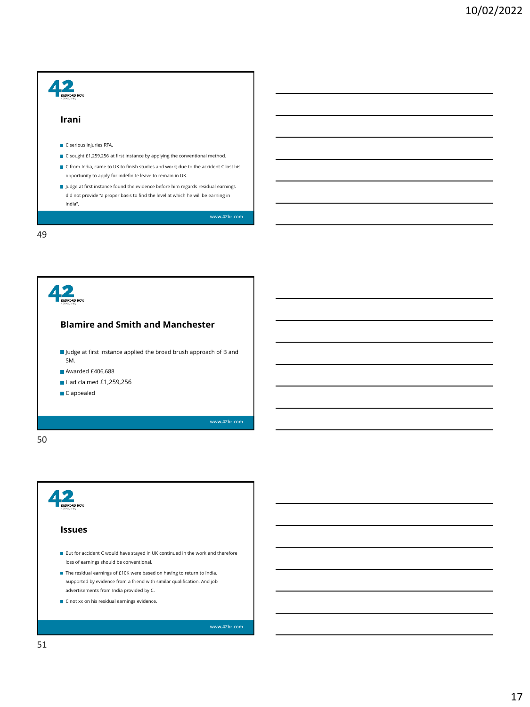| Irani                                                                                                                                                                                                                             |
|-----------------------------------------------------------------------------------------------------------------------------------------------------------------------------------------------------------------------------------|
| C serious injuries RTA.                                                                                                                                                                                                           |
| ■ C sought £1,259,256 at first instance by applying the conventional method.<br>C from India, came to UK to finish studies and work; due to the accident C lost his<br>opportunity to apply for indefinite leave to remain in UK. |
| I Judge at first instance found the evidence before him regards residual earnings<br>did not provide "a proper basis to find the level at which he will be earning in<br>India".                                                  |
| www.42br.com                                                                                                                                                                                                                      |



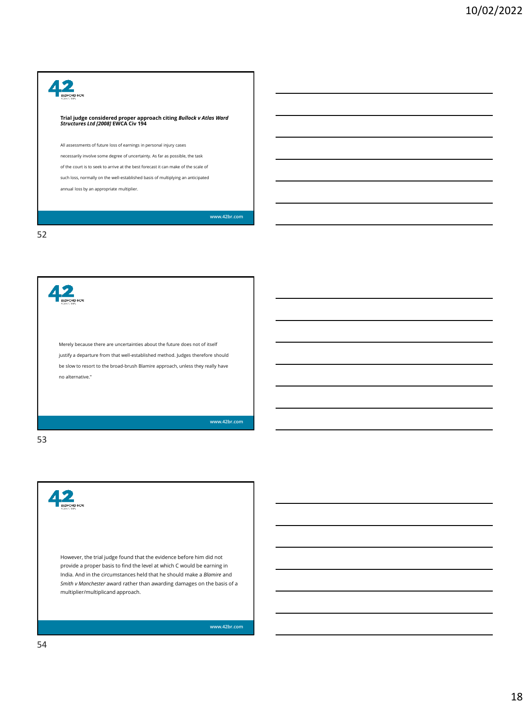### 42 **Trial judge considered proper approach citing** *Bullock v Atlas Ward Structures Ltd [2008]* **EWCA Civ 194** All assessments of future loss of earnings in personal injury cases necessarily involve some degree of uncertainty. As far as possible, the task of the court is to seek to arrive at the best forecast it can make of the scale of such loss, normally on the well-established basis of multiplying an anticipated annual loss by an appropriate multiplier. **[www.42br.com](http://www.42br.com/)**

52

42 Merely because there are uncertainties about the future does not of itself justify a departure from that well-established method. Judges therefore should be slow to resort to the broad-brush Blamire approach, unless they really have no alternative."

**[www.42br.com](http://www.42br.com/)**

#### 53

However, the trial judge found that the evidence before him did not provide a proper basis to find the level at which C would be earning in India. And in the circumstances held that he should make a *Blamire* and *Smith v Manchester* award rather than awarding damages on the basis of a multiplier/multiplicand approach.

**[www.42br.com](http://www.42br.com/)**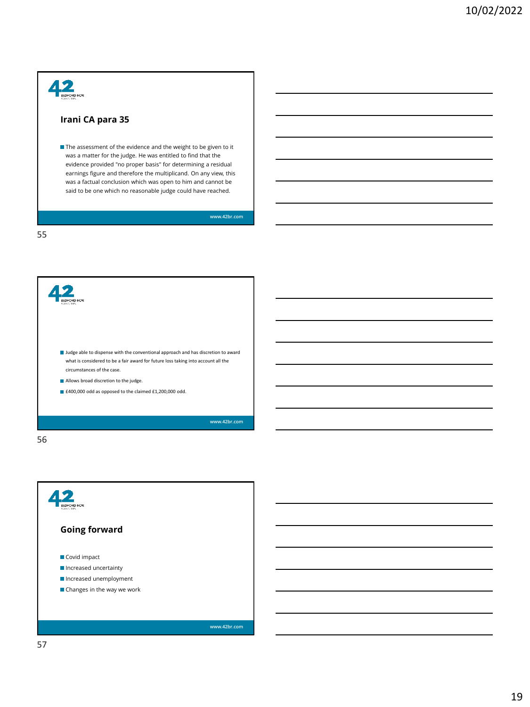# $42<sub>g</sub>$

#### **Irani CA para 35**

The assessment of the evidence and the weight to be given to it was a matter for the judge. He was entitled to find that the evidence provided "no proper basis" for determining a residual earnings figure and therefore the multiplicand. On any view, this was a factual conclusion which was open to him and cannot be said to be one which no reasonable judge could have reached.

**[www.42br.com](http://www.42br.com/)**

55



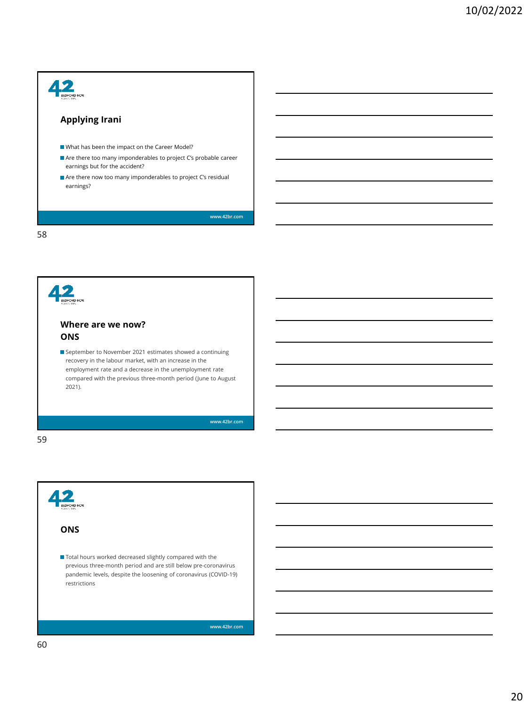## $42$ ROW **Applying Irani**  What has been the impact on the Career Model? Are there too many imponderables to project C's probable career earnings but for the accident? Are there now too many imponderables to project C's residual earnings? **[www.42br.com](http://www.42br.com/)** 58 42 **Where are we now? ONS** September to November 2021 estimates showed a continuing recovery in the labour market, with an increase in the

employment rate and a decrease in the unemployment rate compared with the previous three-month period (June to August 2021).

**[www.42br.com](http://www.42br.com/)**

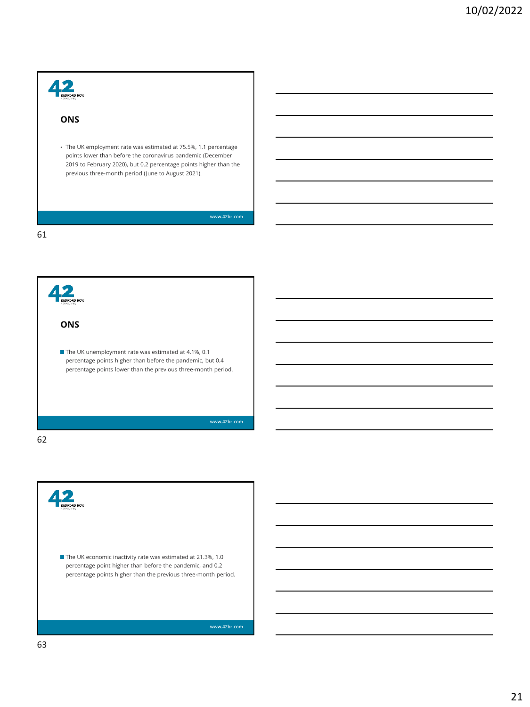## $42$ **ONS** • The UK employment rate was estimated at 75.5%, 1.1 percentage points lower than before the coronavirus pandemic (December 2019 to February 2020), but 0.2 percentage points higher than the previous three-month period (June to August 2021). **[www.42br.com](http://www.42br.com/)** 61

42 **ONS** ■ The UK unemployment rate was estimated at 4.1%, 0.1 percentage points higher than before the pandemic, but 0.4 percentage points lower than the previous three-month period. **[www.42br.com](http://www.42br.com/)**

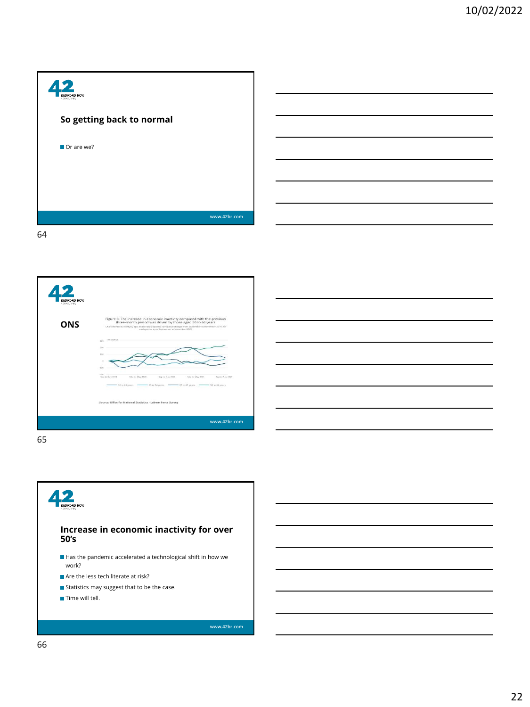| <b>BEDFORD ROW</b>        |              |
|---------------------------|--------------|
| So getting back to normal |              |
| Or are we?                |              |
|                           |              |
|                           |              |
| 64                        | www.42br.com |

 $42$ Figure 8: The increase in economic inactivity compared with the pre-<br>three-month period was driven by those aged 50 to 64 years **ONS**  $rac{200}{2000}$ e: Office for National Statistics - Labour Force Survey **[www.42br.com](http://www.42br.com/)**

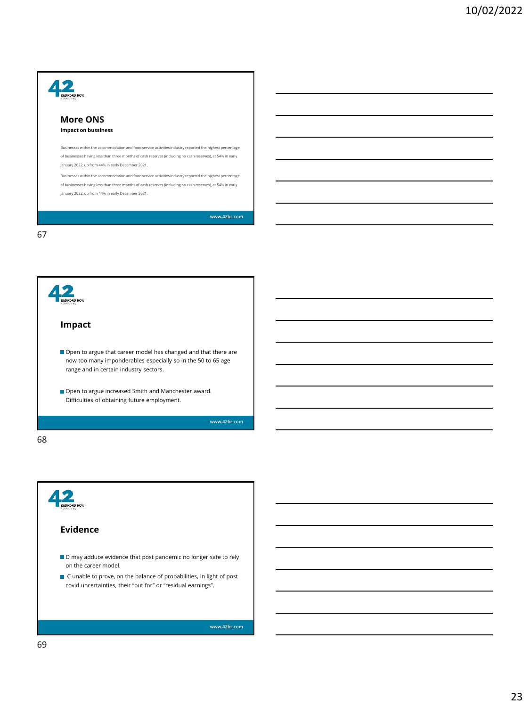| DEORD ROW<br><b>2004/5/1695</b>                                                                                                                                 |
|-----------------------------------------------------------------------------------------------------------------------------------------------------------------|
| More ONS                                                                                                                                                        |
| <b>Impact on bussiness</b>                                                                                                                                      |
| Businesses within the accommodation and food service activities industry reported the highest percentage                                                        |
| of businesses having less than three months of cash reserves (including no cash reserves), at 54% in early<br>January 2022, up from 44% in early December 2021. |
| Businesses within the accommodation and food service activities industry reported the highest percentage                                                        |
| of businesses having less than three months of cash reserves (including no cash reserves), at 54% in early<br>January 2022, up from 44% in early December 2021. |
|                                                                                                                                                                 |
| www.42br.com                                                                                                                                                    |



Д, **Evidence**  $\blacksquare$  D may adduce evidence that post pandemic no longer safe to rely on the career model. ■ C unable to prove, on the balance of probabilities, in light of post covid uncertainties, their "but for" or "residual earnings". **[www.42br.com](http://www.42br.com/)** 69